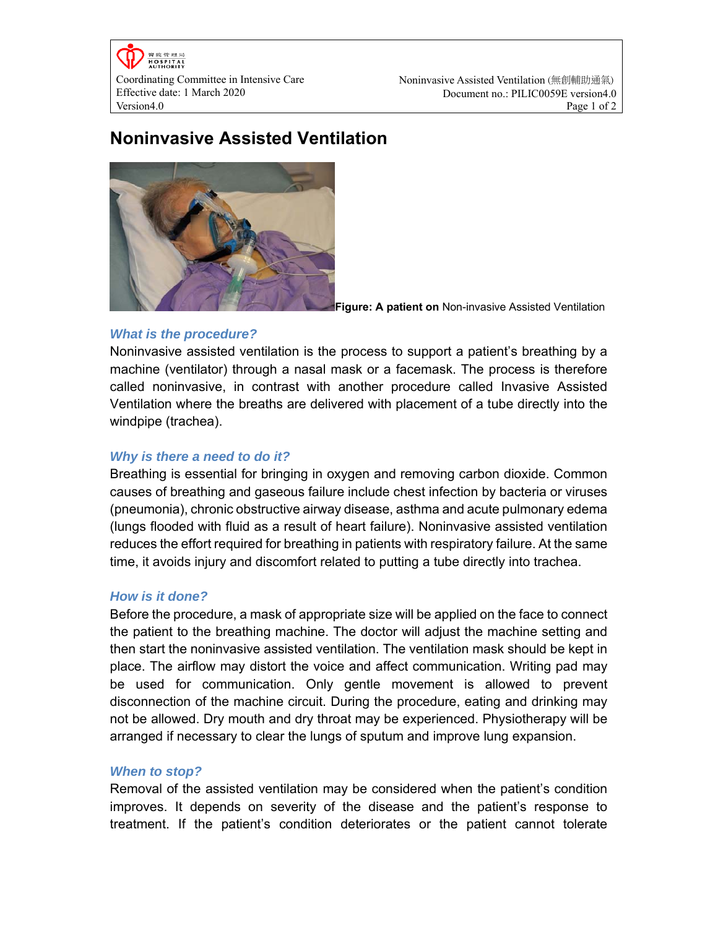Coordinating Committee in Intensive Care Effective date: 1 March 2020 Version4.0 Page 1 of 2

# **Noninvasive Assisted Ventilation**



**Figure: A patient on** Non-invasive Assisted Ventilation

# *What is the procedure?*

Noninvasive assisted ventilation is the process to support a patient's breathing by a machine (ventilator) through a nasal mask or a facemask. The process is therefore called noninvasive, in contrast with another procedure called Invasive Assisted Ventilation where the breaths are delivered with placement of a tube directly into the windpipe (trachea).

# *Why is there a need to do it?*

Breathing is essential for bringing in oxygen and removing carbon dioxide. Common causes of breathing and gaseous failure include chest infection by bacteria or viruses (pneumonia), chronic obstructive airway disease, asthma and acute pulmonary edema (lungs flooded with fluid as a result of heart failure). Noninvasive assisted ventilation reduces the effort required for breathing in patients with respiratory failure. At the same time, it avoids injury and discomfort related to putting a tube directly into trachea.

# *How is it done?*

Before the procedure, a mask of appropriate size will be applied on the face to connect the patient to the breathing machine. The doctor will adjust the machine setting and then start the noninvasive assisted ventilation. The ventilation mask should be kept in place. The airflow may distort the voice and affect communication. Writing pad may be used for communication. Only gentle movement is allowed to prevent disconnection of the machine circuit. During the procedure, eating and drinking may not be allowed. Dry mouth and dry throat may be experienced. Physiotherapy will be arranged if necessary to clear the lungs of sputum and improve lung expansion.

# *When to stop?*

Removal of the assisted ventilation may be considered when the patient's condition improves. It depends on severity of the disease and the patient's response to treatment. If the patient's condition deteriorates or the patient cannot tolerate